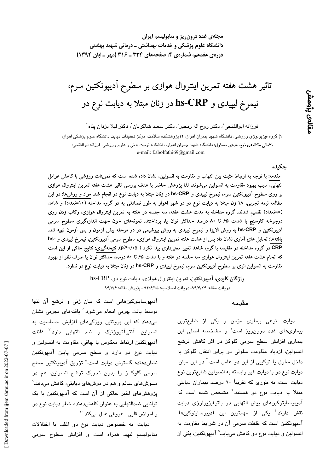مجلهی غدد درون ریز و متابولیسم ایران دانشگاه علوم پزشکی و خدمات بهداشتی ــ درمانی شهید بهشتی دوره ی هفدهم، شماره ی ۴، صفحههای ۳۲۴ ـ ۳۱۶ (مهر ـ آبان ۱۳۹۴)

تاثیر هشت هفته تمرین اینتروال هوازی بر سطوح آدیپونکتین سرم، نیمرخ لیپیدی و hs-CRP در زنان مبتلا به دیابت نوع دو

فرزانه ابوالفتحي'، دكتر روح اله رنجبر'، دكتر سعيد شاكريان'، دكتر ليلا يزدان پناه'

۱) گروه فیزیولوژی ورزشی، دانشگاه شهید چمران اهواز، ۲) پژوهشکده سلامت، مرکز تحقیقات دیابت دانشگاه علوم پزشکی اهواز، **نشانی مکاتبەی نویسندەی مسئول**: دانشگاه شهید چمران اهواز، دانشکده تربیت بدنی و علوم ورزشی، فرزانه ابوالفتحی؛ e-mail: f.abolfathi69@gmail.com

# جكيده

ىقالەى پڑەمش

مقدمه: با توجه به ارتباط مثبت بین التهاب و مقاومت به انسولین، نشان داده شده است که تمرینات ورزشی با کاهش عوامل التهابی، سبب بهبود مقاومت به انسولین میشوند، لذا پژوهش حاضر با هدف بررسی تاثیر هشت هفته تمرین اینتروال هوازی بر روی سطوح اَدیپونکتین سرم، نیمرخ لیپیدی و hs-CRP در زنان مبتلا به دیابت نوع دو انجام شد. مواد و روش۵ا: در این مطالعه نیمه تجربی، ۱۸ زن مبتلا به دیابت نوع دو در شهر اهواز به طور تصادفی به دو گروه مداخله (۱۰=تعداد) و شاهد (۸=تعداد) تقسیم شدند. گروه مداخله به مدت هشت هفته، سه جلسه در هفته به تمرین اینتروال هوازی، رکاب زدن روی دوچرخه کارسنج با شدت ۶۵ تا ۸۰ درصد حداکثر توان پا، پرداختند. نمونههای خون جهت اندازهگیری سطوح سرمی آدیپونکتین و hs-CRP به روش الایزا و نیمرخ لیپیدی به روش بیوشیمی در دو مرحله پیش آزمون و پس آزمون تهیه شد. یافتهها: تحلیل های آماری نشان داد پس از هشت هفته تمرین اینتروال هوازی، سطوح سرمی آدیپونکتین، نیمرخ لیپیدی و -hs CRP در گروه مداخله در مقایسه با گروه شاهد تغییر معنیداری پیدا نکرد ( ۵>/١٠^p>. نتیجهگیری: نتایج حاکی از این است که انجام هشت هفته تمرین اینتروال هوازی سه جلسه در هفته و با شدت ۶۵ تا ۸۰ درصد حداکثر توان پا صرف نظر از بهبود مقاومت به انسولین اثری بر سطوح اَدیپونکتین سرم، نیمرخ لیپیدی و hs-CRP در زنان مبتلا به دیابت نوع دو ندارد.

> وا**ژگان کلیدی**: آدیپونکتین، تمرین اینتروال هوازی، دیابت نوع دو، hs-CRP دريافت مقاله: ٩۴/٢/٢٣ـ دريافت اصلاحيه: ٩۴/۶/٢٥ ـ يذيرش مقاله: ٩۴/٧/۶

#### مقدمه

دیابت، نوعی بیماری مزمن و یکی از شایعترین بیماریهای غدد درون ریز است<sup>\</sup> و مشخصه اصلی این بیماری افزایش سطح سرمی گلوکز در اثر کاهش ترشح انسولین، ازدیاد مقاومت سلولی در برابر انتقال گلوکز به داخل سلول یا ترکیبی از این دو عامل است.<sup>۲</sup> در این میان، ديابت نوع دو يا ديابت غير وابسته به انسولين شايعترين نوع دیابت است، به طوری که تقریباً ۹۰ درصد بیماران دیابتی مبتلا به دیابت نوع دو هستند.<sup>۲</sup> مشخص شده است که آدیپوسایتوکینهای پیش التهابی در پاتوفیزیولوژی دیابت نقش دارند." یکی از مهمترین این آدیپوسایتوکینها، آدیپونکتین است که غلظت سرمی آن در شرایط مقاومت به انسولین و دیابت نوع دو کاهش میبابد.<sup>۵</sup> آدیپونکتین، یکی از

آدیپوسایتوکینهایی است که بیان ژنی و ترشح آن تنها توسط بافت چربی انجام میشود. ٔ یافتههای تجربی نشان میدهند که این پروتئین ویژگیهای افزایش حساسیت به انسولين، آنتيآتروژنيک و ضد التهابي دارد.<sup>۷</sup> غلظت آدییونکتین ارتباط معکوس با چاقی، مقاومت به انسولین و دیابت نوع دو دارد و سطح سرمی پایین آدیپونکتین نشاندهنده گسترش ديابت است.<sup>^</sup> تزريق آديپونكتين سطح سرمی گلوکــز را بدون تحریک ترشح انسولین، هم در مــوش،های سالم و هم در موش،های دیابتی، کاهش می،دهد. <sup>۹</sup> پژوهشهای اخیر حاکی از آن است که آدیپونکتین با یک توانایی ضدالتهابی به عنوان کاهشدهنده خطر دیابت نوع دو و امراض قلبي ــ عروقي عمل ميكند. ``

ديابت، به خصوص ديابت نوع دو اغلب با اختلالات متابولیسم لیپید همراه است و افزایش سطوح سرمی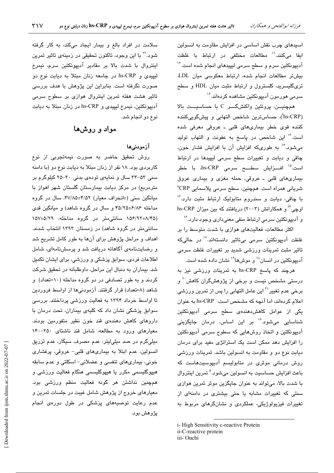اسیدهای چرب نقش اساسی در افزایش مقاومت به انسولین ايفا مىكنند.'' مطالعات مختلفى در ارتباط با غلظت آدیپونکتین سرم و سطح سرمی لیپیدهای انجام شده است." بیشتر مطالعات انجام شده، ارتباط معکوسی میان LDL تری گلیسرید، کلسترول و ارتباط مثبت میان HDL و سطح سرمی هورمون آدیبونکتین مشاهده کردهاند.<sup>۱۲</sup>

همچنیـــن، پروتئین واکنشگــــر C با حساسیــــت بالا (hs-CRP<sup>'</sup>)، حساسترین شاخص التهابی و پیشگوییکننده کننده قوی خطر بیماریهای قلبی ـ عروقی معرفی شده است." این شاخص در پاسخ به عفونت و التهاب تولید میشود.<sup>۱۲</sup> به طوریکه افزایش آن با افزایش فشار خون، چاقی و دیابت و تغییرات سطح سرمی لیپیدها در ارتباط است.<sup>۱۵</sup> افـــزایش سطــــح سرمی hs-CRP، با خطر بیماریهای قلبی ـ عروقی، حمله مغزی و بیماری عروق شريانی همراه است. همچنین، سطح سرمی پلاسمایی <sup>ii</sup>CRP با چاقی، دیابت و سندروم متابولیک ارتباط مثبت دارد." hs-CRP اوچی" و همکارانش (۲۰۰۳) دریافتند که بین میزان و آدمیونکتین سرمی ارتباط منفی معنیداری وجود دارد.<sup>۱۶</sup>

اکثر مطالعات، فعالیتهای هوازی با شدت متوسط را بر غلظت آدیپونکتین سرمی بیتاثیر دانستهاند.<sup>۱۷</sup> در حالیکه تاثیر مثبت تمرینات ورزشی شدید بر تغییرات غلظت سرمی آدیپونکتین در انسان<sup>۱۸</sup> و موشها<sup>۱۹</sup> نشان داده شده است.

هرچند که پاسخ hs-CRP به تمرینات ورزشی نیز به درستی مشخص نیست و برخی از پژوهشگران کاهش<sup>۲۰</sup> و برخی عدم تغییر<sup>۲۱</sup> این عامل التهابی را پس از تمرین ورزش*ی* اعلام کردهاند، اما آنچه که مشخص است، hs-CRP به عنوان یکی از عوامل کاهشدهندهی سطح سرمی آدیپونکتین شناسایی میشود.<sup>۱۶</sup> بر این اساس، درمان جایگزینی آدیپونکتین و اتخاذ روشهایی که سطوح سرمی آدیپونکتین را افزایش دهد ممکن است یک استراتژی مفید برای درمان دیابت نوع دو و مقاومت به انسولین باشد. تمرینات ورزشی روش درمانی موثری در متابولیسم آدیپوسیتهاست که باعث افزايش حساسيت به انسولين مي شود.<sup>ه</sup> تمرين اينتروال با شدت بالا، می تواند به عنوان جایگزین موثر تمرین هوازی سنتی که تغییرات مشابه یا حتی بیشتری در دامنهای از تغییرات فیزیولوژیکی، عملکردی و نشانگرهای مربوط به

iii-Ouchi

سلامت در افراد بالغ و بیمار ایجاد میکند، به کار گرفته شود.<sup>۲۲</sup> با این وجود، تاکنون تحقیقی در زمینهی تاثیر تمرین اینتروال با شدت بالا بر مقادیر آدیپونکتین سرم، نیمرخ لیپیدی و hs-CRP در جامعه زنان مبتلا به دیابت نوع دو صورت نگرفته است. بنابراین این پژوهش با هدف بررسی تاثیر هشت هفته تمرین اینتروال هوازی بر سطوح سرمی آديپونكتين، نيمرخ ليپيدى و hs-CRP در زنان مبتلا به ديابت نوع دو انجام شد.

# مواد و روشها

# آزمودنے ما

روش تحقیق حاضر به صورت نیمهتجربی از نوع کاربردی بود. ۱۸ نفر از زنان مبتلا به دیابت نوع دو (با دامنه سنی ۵۳-۳۳ سال و نمایهی تودهی بدنی ۳۰-۲۵ کیلوگرم بر مترمربع) در مرکز دیابت بیمارستان گلستان شهر اهواز با میانگین سنی (±انحراف معیار) ۴۷/۸۵±۴۷/۸۵، سال در گروه مداخله ۴۵/۲۵±۴۵/۲۵ و سال در گروه شاهد) و میانگین قدی (۱۵۶/۹۲±۸/۴۵ سانتی،متر در گروه مداخله، ۱۵۷±۵/۲۹ سانتی،متر در گروه شاهد) در زمستان ۱۳۹۲ انتخاب شدند. اهداف و مراحل پژوهش برای آنها به طور کامل تشریح شد و رضایتنامهی آگاهانه دریافت شد و پرسشنامهای، شامل اطلاعات فردی، سوابق پزشکی و ورزشی، برای ایشان تکمیل شد. بیماران به دنبال این مراحل، داوطلبانه در تحقیق شرکت کردند و به طور تصادفی در دو گروه مداخله (١٠=تعداد) و شاهد (۸=تعداد) قرار گرفتند. آزمودنیها از اواسط فروردین تا اواسط خرداد ۱۳۹۴ به فعالیت ورزشی پرداختند. بررسی سوابق پزشکی نشان داد که کلیهی بیماران، تحت درمان با داروهای کاهش دهندهی قند خون نظیر متفورمین بودند. معیارهای ورود به مطالعه، شامل قند ناشتای ۲۵۰-۱۴۰ میلیگرم در صد میلیلیتر، عدم مصرف سیگار، عدم تزریق انسولین، عدم ابتلا به بیماریهای قلبی- عروقی، پرفشاری خونی، بیماریهای تنفسی و عضلانی- اسکلتی و عدم سابقه هیپوگلیسمی مکرر یا هیپوگلیسمی هنگام فعالیت ورزشی و همچنین نداشتن هر گونه فعالیت منظم ورزشی بود. معیارهای خروج از پژوهش شامل غیبت در جلسات تمرین و عدم رعایت توصیههای پزشکی در طول دورهی انجام يژوهش بود.

i-High Sensitivity c-reactive Protein ii-C-reactive protein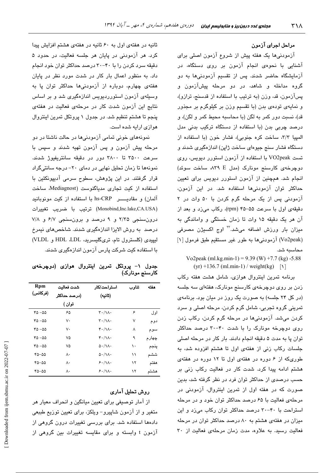### مراحل اجراي آزمون

آزمودنیها یک هفته پیش از شروع آزمون اصلی برای آشنایی با نحوهی انجام آزمون بر روی دستگاه، در آزمایشگاه حاضر شدند. پس از تقسیم آزمودنیها به دو گروه مداخله و شاهد، در دو مرحله پیشآزمون و يسآزمون، قد، وزن (به ترتيب با استفاده از قدسنج، ترازو)، و نمایهی تودهی بدن (با تقسیم وزن بر کیلوگرم بر مجذور قد)، نسبت دور کمر به لگن (با محاسبه محیط کمر و لگن)، و درصد چربی بدن (با استفاده از دستگاه ترکیب بدنی مدل المپیا ٣/٣، ساخت کره جنوبی)، فشار خون (با استفاده از دستگاه فشار سنج جیوهای ساخت ژاپن) اندازهگیری شدند و تست VO2peak با استفاده از آزمون استورر دیویس، روی دوچرخهی کارسنج مونارک (مدل K۳۹ E، ساخت سوئد) انجام شد. همچنین از آزمون استورر دیویس برای تعیین حداکثر توان آزمودنیها استفاده شد. در این آزمون، آزمودنی پس از یک مرحله گرم کردن با ۵۰ وات در ۲ دقیقهی اول با سرعت ۵۵-۴۵ (rpm)، رکاب میزد و بعد از آن هر یک دقیقه ۱۵ وات تا زمان خستگی و واماندگی به میزان بار ورزش اضافه میشد.<sup>۲۲</sup> اوج اکسیژن مصرفی (Vo2peak) آزمودنیها به طور غیر مستقیم طبق فرمول [۱] محاسبه شد.

Vo2peak (ml.kg.min-1) = 9.39 (W) +7.7 (kg) -5.88  $(yr) + 136.7$  (ml.min-1) / weight(kg) [\]

برنامه تمرین اینتروال هوازی، شامل هشت هفته رکاب زدن بر روی دوچرخهی کارسنج مونارک، هفتهای سه جلسه (در کل ۲۴ جلسه) به صورت یک روز در میان بود. برنامهی تمرینی گروه تجربی، شامل گرم کردن، مرحله اصلی و سرد کردن میشد. آزمودنیها در مرحله گرم کردن، رکاب زدن روی دوچرخه مونارک را با شدت ۴۰-۳۰ درصد حداکثر توان پا به مدت ۵ دقیقه انجام دادند. بار کار در مرحله اصلی جلسات رکاب زنی از هفتهی اول تا هشتم افزوده شد، به طوریکه از ۶ دوره در هفتهی اول تا ۱۲ دوره در هفتهی هشتم ادامه پیدا کرد. شدت کار در فعالیت رکاب زنی بر حسب درصدی از حداکثر توان فرد در نظر گرفته شد، بدین صورت که در هفته اول از تمرین اینتروال، آزمودنی در مرحلهی فعالیت با ۶۵ درصد حداکثر توان خود و در مرحله استراحت با ۴۰-۳۰ درصد حداکثر توان رکاب میزد و این میزان در هفتهی هشتم به ۸۰ درصد حداکثر توان در مرحله فعالیت رسید. به علاوه، مدت زمان مرحلهی فعالیت از ٣٠

ثانیه در هفتهی اول به ۶۰ ثانیه در هفتهی هشتم افزایش پیدا کرد. هر آزمودنی در پایان هر جلسه فعالیت، در حدود ۵ دقیقه سرد کردن را با ۴۰–۳۰ درصد حداکثر توان خود انجام داد. به منظور اعمال بار کار در شدت مورد نظر در پایان هفتهی چهارم، دوباره از آزمودنیها حداکثر توان پا به وسیلهی آزمون استورردیویس اندازهگیری شد و بر اساس نتایج این آزمون شدت کار در مرحلهی فعالیت در هفتهی پنجم تا هشتم تنظیم شد. در جدول ۱ پروتکل تمرین اینتروال هوازی ارایه شده است.

نمونههای خونی تمامی آزمودنیها در حالت ناشتا در دو مرحله پیش آزمون و پس آزمون تهیه شدند و سپس با سرعت ۳۵۰۰ تا ۳۸۰۰ دور در دقیقه سانتریفیوژ شدند. نمونهها تا زمان تحلیل نهایی در دمای ۲۰- درجه سانتیگراد قرار گرفتند. در این پژوهش، سطوح سرمی آدیپونکتین با استفاده از کیت تجاری مدیاگنوست (Mediagnost، ساخت آلمان) و مقادیــــــــــر hs-CRP با استفاده از کیت مونوبانید (Monobind,Inc.lake,CA.USA) ترتيب با ضريب تغييرات درون سنجي ٢/٣٥ و ٩ درصد و برون سنجي ۶/٧ و ٧/٨ درصد به روش الایزا اندازهگیری شدند. شاخصهای نیمرخ ليپيدى (كلسترول تام، ترىگليسىريد، HDL ،LDL و VLDL) با استفاده کیت شرکت پارس آزمون اندازهگیری شدند.

جدول ۱– پروتکل تمرین اینتروال هوازی (دوچرخهی کارسنج مونارک)

| Rpm      | شدت فعاليت   | استراحت/کار                                      | تناوب | هفته  |
|----------|--------------|--------------------------------------------------|-------|-------|
| (فركانس) | (درصد حداکثر | (ٹانیه)                                          |       |       |
|          | توان )       |                                                  |       |       |
| 5۵– ۴۵   | ۶۵           | $\mathbf{r} \cdot / \mathbf{v} \cdot$            | ۶     | او ل  |
| 40 -00   | ٧٠           | $\mathsf{r}\cdot\mathsf{r}\wedge\mathsf{r}\cdot$ | ٧     | دوم   |
| 5۵– ۴۵   | ٧٠           | ۴۰/۱۸۰                                           | ٨     | سوم   |
| 5۵– ۴۵   | ٧۵           | ۴۰/۱۸۰                                           | ٩     | چهارم |
| 5۵– ۴۵   | ٧۵           | $\Delta$ - / \ $\Lambda$ -                       | ۱۰    | پنجم  |
| 0۵–۳۵    | ٨٠           | $\Delta \cdot / \Lambda \cdot$                   | ۱۱    | ششم   |
| 40-00    | ٨٠           | 5.1                                              | ۱۲    | هفتم  |
| ۵۵–۵۵    | ٨٠           | ۶۰/۱۸۰                                           | ۱۲    | هشتم  |

## روش تحلیل آماری

از آمار توصیفی برای تعیین میانگین و انحراف معیار هر متغیر و از آزمون شاپیرو- ویلکز، برای تعیین توزیع طببعی دادهها استفاده شد. برای بررسی تغییرات درون گروهی از آزمون t وابسته و برای مقایسه تغییرات بین گروهی از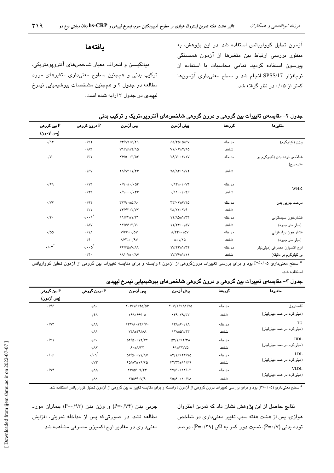ازمون تحلیل کوواریانس استفاده شد. در این پژوهش، به منظور بررسی ارتباط بین متغیرها از ازمون همبستگی پیرسون استفاده گردید. تمامی محاسبات با استفاده از نرمافزار SPSS/17 انجام شد و سطح معنیداری آزمونها کمتر از ۰/۰۵ در نظر گرفته شد.

## يافتەھا

میانگیـــــــن و انـحراف معیار شـاخص۵ای انتروپومتریکی، ترکیب بدنی و همچنین سطوح معنیداری متغیرهای مورد مطالعه در جدول ۲ و همچنین مشخصات بیوشیمیایی نیمرخ لیپیدی در جدول ۳ ارایه شده است.

| P بین گروهی            | P درون گروهی                | ڀس آزمون                                                                 | ڀيش آزمون                                                       | كرومقا | متغيرها                    |
|------------------------|-----------------------------|--------------------------------------------------------------------------|-----------------------------------------------------------------|--------|----------------------------|
| (پس آزمون)             |                             |                                                                          |                                                                 |        |                            |
| .797                   | $\cdot$ /٣٢                 | $54/97+5/79$                                                             | $FQ/TQ+Q/FV$                                                    | مداخله | وزن (کیلوگرم)              |
|                        | $\cdot/\wedge\tau$          | $V1/YE+Y/9Q$                                                             | $V1/\cdot 7\pm 7/90$                                            | شاهد   |                            |
| $\cdot/\vee\cdot$      | $\cdot$ /٣٢                 | $YP/\Delta \cdot \pm Y/\Delta Y$                                         | $YP/V \cdot \pm Y/1V$                                           | مداخله | شاخص توده بدن (کیلوگرم بر  |
|                        |                             |                                                                          |                                                                 |        | مترمربع)                   |
|                        | $\cdot$ / $\gamma$          | $Y/\sqrt{Y+1}$                                                           | <b>YA/AY±\/VY</b>                                               | شاهد   |                            |
| .79                    | $\cdot/\gamma$              | $\cdot$ /9 $\cdot$ + $\cdot$ / $\cdot$ ۵۴                                | $\cdot$ /9 $\mathsf{r}_{\pm}$ ./ $\cdot$ V۴                     | مداخله |                            |
|                        | $\cdot$ /۲۳                 | $\cdot$ /9 $\cdot$ $\pm$ $\cdot$ / $\cdot$ $\uparrow$ $\circ$            | $\cdot$ /91± $\cdot$ / $\cdot$ ۳۶                               | شاهد   | <b>WHR</b>                 |
| $\cdot$ / $\vee$ ۴     | .197                        | $\tau \tau / \gamma \cdot \pm \Delta / \Lambda$ .                        | $\tau\tau/\cdot\tau_{\pm}\tau/\tau$ ۵                           | مداخله | درصد چربی بدن              |
|                        | $\cdot$ /۲۲                 | $\Upsilon \Upsilon / \Upsilon \Upsilon \pm \Upsilon / \Upsilon \Upsilon$ | $\Upsilon \Delta / \Upsilon \Upsilon \pm \Upsilon / \Upsilon$ . | شاهد   |                            |
| $\cdot/\mathfrak{r}$ . | $\cdot/\cdot\cdot\right)^*$ | $11/Ff \pm 1/T1$                                                         | 17/10±1/74                                                      | مداخله | فشارخون سيستولى            |
|                        | $\cdot/\lambda V$           | 17/88±T/V.                                                               | $17/TT \pm 1.0V$                                                | شاهد   | (میلی متر جیوه)            |
| .100                   | $\cdot/\lambda$             | $V/FF \pm - / \Delta V$                                                  | $\Lambda/\Upsilon\Upsilon\pm\cdot/\Delta V$                     | مداخله | فشارخون دياستولى           |
|                        | $\cdot/\mathfrak{r}$ .      | $\Lambda/\Upsilon\Upsilon\pm\cdot/\Upsilon V$                            | $\lambda \pm 1/10$                                              | شاهد   | (میلی متر جیوه)            |
| $\cdot/\cdot \tau^*$   | $\cdot/\cdot\cdot\varphi^*$ | $YF/S\Delta \pm V/\Lambda$ 9                                             | $V/\sqrt{r}T_{\pm}V/T$                                          | مداخله | اوج اکسیژن مصرفی (میلیلیتر |
|                        | $\cdot/\mathfrak{r}$ .      | $\Lambda/\cdot V_{\pm} \cdot / \Lambda V$                                | $V/V$ / $Y^{\mu}$                                               | شاهد   | بر کيلوگرم بر دقيقه)       |

## جدول ۲– مقایسهی تغییرات بین گروهی و درون گروهی شاخصهای آنتروپومتریک و ترکیب بدنی

\* سطح معنیداری ۲٬۰۰۵ بود و برای بررسی تغییرات درونگروهی از آزمون t وابسته و برای مقایسه تغییرات بین گروهی از آزمون تحلیل کوواریانس استفاده شد.

#### جدول ۳– مقایسهی تغییرات بین گروهی و درون گروهی شاخصهای بیوشیمیایی نیمرخ لیپیدی

| P بین گروهی<br>(پس آزمون) | ا درون گروهي P         | ايس آزمون                                         | بيش آزمون                                   | كرومما                   | متغيرها                    |
|---------------------------|------------------------|---------------------------------------------------|---------------------------------------------|--------------------------|----------------------------|
| .199                      | $\cdot/\Lambda$ .      | $Y.515 + 8000$                                    | $Y.5/15 \pm \Lambda$ 170                    | مداخله                   | كلسترول                    |
|                           | $\cdot$ /۴ $\wedge$    | $Y^{\mu}A^{\mu}Y^{\mu}A^{\nu}$                    | $Y^4 + Y^4 / Y^T$                           | شاهد                     | (میلی گرم در صد میلی لیتر) |
| .798                      | $\cdot/\lambda\lambda$ | $\Upsilon Y/\Lambda \cdot \pm Y \cdot /V \cdot$   | $\Upsilon$                                  | مداخله                   | <b>TG</b>                  |
|                           | $\cdot/\lambda$        | <b>ITA±T9/AA</b>                                  | 171±01/۴۳                                   | شاهد                     | (میلیگرم در صد میلیلیتر)   |
| $\cdot$ /٣١               | .19.                   | $QY/Q \cdot \pm Y/\sqrt{Y}Y$                      | $\Delta f/\Delta f \pm \Delta f/\Delta$     | مداخله                   | <b>HDL</b>                 |
|                           | $\cdot/\lambda\tau$    | 5.1/17                                            | شاهد<br>$51+57/10$                          | (میلیگرم در صد میلیلینر) |                            |
| $\cdot/\cdot$ ۶           | $\cdot/\cdot\setminus$ | $\Delta \mathcal{F}/\Delta \cdot \pm 11/\Delta V$ | $\Lambda$ r/18±27/90                        | مداخله                   | <b>LDL</b>                 |
|                           | $\cdot$ / $\vee\tau$   | $FQ/\Lambda T \pm 19/FQ$                          | $57/TT \pm 11/F9$                           | شاهد                     | (میلی گرم در صد میلی لیتر) |
| .798                      | $\cdot/\lambda\lambda$ | $Y$ $69 + 9$                                      | $\Upsilon V/F \cdot \pm \Upsilon V/\cdot V$ | مداخله                   | <b>VLDL</b>                |
|                           | $\cdot/\wedge$         | $YQ/FY\pm V/Q$                                    | $YQ/F \cdot \pm 1.77A$                      | شاهد                     | (میلیگرم در صد میلیلینر)   |

\* سطح معنىدارى (٢<٠/٠۵) بود و براى بررسى تغييرات درون گروهى از آزمون t وابسته و براى مقايسه تغييرات بين گروهى از آزمون تحليل كوواريانس استفاده شد.

نتایج حاصل از این پژوهش نشان داد که تمرین اینتروال هوازی، پس از هشت هفته سبب تغییر معنیداری در شاخص  $(P=\cdot \, \prime$ توده بدنی  $(P=\cdot \, \prime$ )، نسبت دور کمر به لگن (۲۹/۰=P)، درصد

چربی بدن (P=۰/۷۴) و وزن بدن (۹۳--P) بیماران مورد مطالعه نشد. در صورتیکه پس از مداخله تمرینی، افزایش معنیداری در مقادیر اوج اکسیژن مصرفی مشاهده شد.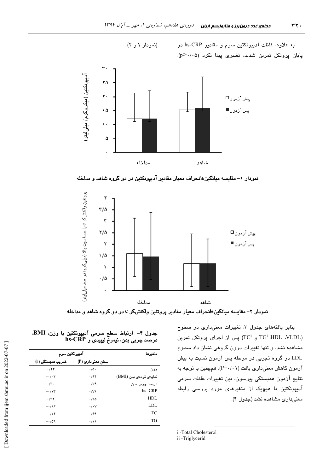به علاوه، غلظت آدیپونکتین سرم و مقادیر hs-CRP در پایان پروتکل تمرین شدید، تغییری پیدا نکرد (p>۰/۰۵).



(نمودار ۱ و ۲).

نمودار ۱– مقایسه میانگین±انحراف معیار مقادیر آدیپونکتین در دو گروه شاهد و مداخله



نمودار ۲– مقایسه میانگین±انحراف معیار مقادیر پروتئین واکنشگر c در دو گروه شاهد و مداخله

بنابر یافتههای جدول ۳، تغییرات معنیداری در سطوح بس از اجرای پروتکل تمرین TG<sup>i</sup> ،HDL ،VLDL) مشاهده نشد. و تنها تغییرات درون گروهی نشان داد سطوح LDL در گروه تجربی در مرحله پس آزمون نسبت به پیش آزمون کاهش معنیداری یافت (۱۰/۰۱-P). همچنین با توجه به نتایج ازمون همبستگی پیرسون، بین تغییرات غلظت سرمی ادیپونکتین با هیچیک از متغیرها*ی* مورد بررس*ی* رابطه معنیداری مشاهده نشد (جدول ۴).

جدول ۴– ارتباط سطح سرمی آدیپونکتین با وزن، BMI. **hs-CRP** .B |
) - 
\* I

| اديپونکٽين سرم         |                      | متغيرها                |
|------------------------|----------------------|------------------------|
| ضریب مىستگ <i>ى</i> (r | سطح معنی داری (P)    |                        |
| .74                    | $\cdot/\Delta$ .     | وزن                    |
| $-\cdot/\cdot \tau$    | .794                 | نمايەى تودەى بدن (BMI) |
| .7.                    | .79                  | درصد چربی بدن          |
| $-\cdot/\gamma$ ۳      | $\cdot$ /V $\lambda$ | hs-CRP                 |
| .777                   | $\cdot$ /٣۵          | HDL                    |
| $-\cdot/\sqrt{2}$      | $\cdot/\cdot$ $\vee$ | LDL                    |
| $- \cdot 74$           | .799                 | TC                     |
| $-\cdot$ /09           | $\cdot/\lambda$      | TG                     |

i -Total Cholesterol

ii -Triglycerid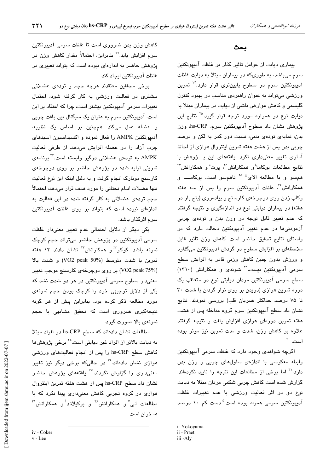#### بحث

بیماری دیابت از عوامل تاثیر گذار بر غلظت آدیپونکتین سرم میباشد، به طوریکه در بیماران مبتلا به دیابت غلظت آدیپونکتین سرم در سطوح پایینتری قرار دارد.<sup>۲۴</sup> تمرین ورزشی می تواند به عنوان راهبردی مناسب در بهبود کنترل گلیسمی و کاهش عوارض ناشی از دیابت در بیماران مبتلا به دیابت نوع دو همواره مورد توجه قرار گیرد.<sup>۲۵</sup> نتایج این پژوهش نشان داد سطوح آدیپونکتین سرم، hs-CRP، وزن بدن، نمایهی تودهی بدنی، نسبت دور کمر به لگن و درصد چربی بدن پس از هشت هفته تمرین اینتروال هوازی از لحاظ آماری تغییر معنیداری نکرد. یافتههای این پسژوهش با نتایج مطالعات یوکاما<sup>ا</sup>و همکارانش"، پرت<sup>ة</sup>و همکارانش" همسو و با مطالعه الای<sup>نة ۲۸</sup> ناهمسو است. یوکامـــا و همکارانش<sup>۲</sup>ٌ، غلظت آدیپونکتین سرم را پس از سه هفته رکاب زدن روی دوچرخهی کارسنج و پیادهروی (پنج بار در هفته) در بیماران دیابتی نوع دو اندازهگیری و نتیجه گرفتند که عدم <mark>تغیی</mark>ر قابل توجه در وزن بدن و تودهی چربی آزمودنیها در عدم تغییر آدیپونکتین دخالت دارد که در راستای نتایج تحقیق حاضر است. کاهش وزن تاثیر قابل ملاحظهای بر افزایش سطوح در گردش آدیپونکتین میگذارد و ورزش بدون چنین کاهش وزنی قادر به افزایش سطح سرمی آدیپونکتین نیست.<sup>۲۹</sup> شوندی و همکارانش (۱۳۹۰) سطح سرمی آدیپونکتین مردان دیابتی نوع دو متعاقب یک دوره تمرین هوازی (دویدن بر روی نوار گردان با شدت ۳۰ تا ۷۵ درصد حداکثر ضربان قلب) بررسی نمودند. نتایج نشان داد سطح آدیپونکتین سرم گروه مداخله پس از هشت هفته تمرین دورهای هوازی افزایش یافت و نتیجه گرفتند علاوه بر کاهش وزن، شدت و مدت تمرین نیز موثر بوده است. ۲۰

اگرچه شواهدی وجود دارد که غلظت سرمی آدیپونکتین رابطه معکوسی با اندازهی سلولهای چربی و وزن بدن دارد،'' اما برخی از مطالعات این نتیجه را تایید نکردهاند. گزارش شده است کاهش چربی شکمی مردان مبتلا به دیابت نوع دو در اثر فعالیت ورزشی با عدم تغییرات غلظت آدیپونکتین سرمی همراه بوده است.<sup>۵</sup> دست کم ۱۰ درصد

كاهش وزن بدن ضرورى است تا غلظت سرمى آديپونكتين سرم افزایش یابد.<sup>۲۲</sup> بنابراین، احتمالاً مقدار کاهش وزن در پژوهش حاضر به اندازهای نبوده است که بتواند تغییری در غلظت آدييونكتين ايجاد كند.

برخی محققین معتقدند هرچه حجم و تودهی عضلانی بیشتری در فعالیت ورزشی به کار گرفته شود، احتمال تغییرات سرمی آدیپونکتین بیشتر است، چرا که اعتقاد بر این است، آدیپونکتین سرم به عنوان یک سیگنال بین بافت چربی و عضله عمل میکند. همچنین بر اساس یک نظریه، آدیپونکتین AMPK را فعال نموده و اکسیداسیون اسیدهای چرب آزاد را در عضله افزایش میدهد. از طرفی فعالیت AMPK به تودهی عضلانی درگیر وابسته است.<sup>۳۲</sup> برنامهی تمرینی ارایه شده در پژوهش حاضر بر روی دوچرخهی کارسنج مونارک انجام گرفت و به دلیل اینکه این نوع فعالیت تنها عضلات اندام تحتاني را مورد هدف قرار مي دهد، احتمالاً حجم تودهی عضلانی به کار گرفته شده در این فعالیت به اندازهای نبوده است که بتواند بر روی غلظت آدیپونکتین سرم اثرگذار پاشد.

یکی دیگر از دلایل احتمالی عدم تغییر معنیدار غلظت سرمی آدیپونکتین در پژوهش حاضر میتواند حجم کوچک نمونه باشد. کوکر<sup>۱۷</sup> و همکارانش<sup>۳</sup> نشان دادند ۱۲ هفته تمرين با شدت متوسط (VO2 peak 50%) و شدت بالا (VO2 peak 75%) بر روی دوچرخهی کارسنج موجب تغییر معنیدار سطوح سرمی آدیپونکتین در هر دو شدت نشد که یکی از دلایل توجیهی خود را کوچک بودن حجم نمونهی مورد مطالعه ذکر کرده بود. بنابراین پیش از هر گونه نتیجهگیری ضروری است که تحقیق مشابهی با حجم نمونهی بالا صورت گیرد.

مطالعات نشان دادهاند که سطح hs-CRP در افراد مبتلا به دیابت بالاتر از افراد غیر دیابتی است.<sup>۳</sup> برخی پژوهشها کاهش سطح hs-CRP را پس از انجام فعالیتهای ورزشی هوازی نشان دادهاند.<sup>۳۶</sup> در حالیکه برخی دیگر نیز تغییر معنی،داری را گزارش نکردند.<sup>۲۷</sup> یافتههای پژوهش حاضر نشان داد سطح hs-CRP پس از هشت هفته تمرین اینتروال هوازی در گروه تجربی کاهش معنیداری پیدا نکرد که با مطالعات لی<sup>7</sup> و همکارانش<sup>74</sup> و برکیلاند<sup>ا</sup> و همکارانش<sup>۳۹</sup> همخوان است.

i-Yokoyama

ii - Praet

iii -Aly

iv - Coker

v - Lee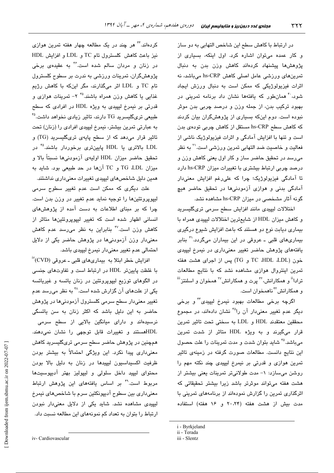در ارتباط با کاهش سطح این شاخص التهابی به دو ساز و کار عمده میتوان اشاره کرد. اول اینکه، بسیاری از پژوهش،ها پیشنهاد کردهاند کاهش وزن بدن به دنبال تمرینهای ورزشی عامل اصلی کاهش hs-CRP میباشد، نه اثرات فیزیولوژیکی که ممکن است به دنبال ورزش ایجاد شود، <sup>۴</sup> همانطور که یافتهها نشان داد برنامه تمرین*ی* در بهبود ترکیب بدن، از جمله وزن و درصد چربی بدن موثر نبوده است. دوم اینکه بسیاری از پژوهشگران بیان کردند که کاهش سطح hs-CRP مستقل از کاهش چربی تودهی بدن است و تنها با افزایش آمادگی و اثرات فیزیولوژیک ناشی از فعالیت و خاصیت ضد التهابی تمرین ورزش*ی* است.<sup>۲۱</sup> به نظر مے،رسد در تحقیق حاضر ساز و کار اول بعنے کاهش وزن و درصد چربی ارتباط بیشتری با تغییرات میزان hs-CRP دارد تا آمادگی فیزیولوژیک؛ چرا که علی رغم افزایش معنیدار آمادگی بدنی و هوازی آزمودنیها در تحقیق حاضر هیچ گونه آثار مشخصی در میزان hs-CRP مشاهده نشد.

اختلالات ليپيدى مانند افزايش سطح سرمى ترىگليسريد و كاهش ميزان HDL از شايعترين اختلالات ليپيدي همراه با بیماری دیابت نوع دو هستند که باعث افزایش شیوع درگیری بیماریهای قلبی ـ عروقی در این بیماران میگردد.<sup>۳۱</sup> بنابر یافتههای پژوهش حاضر تغییر معنیداری در نیمرخ لیپیدی خون (TG ،HDL ،LDL و TG) پس از اجرای هشت هفته تمرین اینتروال هوازی مشاهده نشد که با نتایج مطالعات ترادا<sup>نن</sup> و همکارانش،<sup>۴۲</sup> پرت و همکارانش<sup>۲۷</sup> همخوان و اسلنتز<sup>ننن</sup> و همکارانش<sup>۳</sup> ناهمخوان است.

اگرچه برخی مطالعات بهبود نیمرخ لیپی*دی"* و برخی دیگر عدم تغییر معنیدار آن را<sup>۴۵</sup> نشان دادهاند، در مجموع محققين معتقدند HDL و LDL به سختى تحت تاثير تمرين قرار میگیرند و به ویژه HDL متاثر از شدت تمرین میباشد.<sup>۴۵</sup> شاید بتوان شدت و مدت تمرینات را علت حصول این نتایج دانست. مطالعات صورت گرفته در زمینهی تاثیر تمرين هوازي و قدرتي بر نيمرخ ليپيدي چند نكته مهم را روشن میسازد: ١- مدت طولانی تر تمرینات یعنی بیشتر از هشت هفته میتواند موثرتر باشد زیرا بیشتر تحقیقاتی که اثرگذاری تمرین را گزارش نمودهاند از برنامههای تمرینی با مدت بيش از هشت هفته (٢٠،٢۴ و ١۶ هفته) استفاده

کردهاند.<sup>۲۴</sup> هر چند در یک مطالعه چهار هفته تمرین هواز*ی* نيز باعث كاهش كلسترول تام TC و LDL و افزايش HDL در زنان و مردان سالم شده است.<sup>۴۶</sup> به عق<u>د</u>دی برخی پژوهشگران، تمرینات ورزشی به ندرت بر سطوح کلسترول تام TC و LDL اثر میگذارند، مگر اینکه با کاهش رژیم غذائی یا کاهش وزن همراه پاشند. ۲° ۲- تمرینات هوازی و قدرتی بر نیمرخ لیپیدی به ویژه HDL در افرادی که سطح طبیعی تریگلیسرید TG دارند، تاثیر زیادی نخواهد داشت.<sup>۴۵</sup> به عبارتی تمرین بیشتر، نیمرخ لیپیدی افرادی را (زنان) تحت تاثیر قرار میدهد که از سطح پایهی تریگلیسرید (TG) و LDL بالاتری یا HDL پایینتری برخوردار باشند.<sup>۴</sup>° در تحقيق حاضر ميزان HDL اوليهى آزمودنيها نسبتاً بالا و میزان TG ،LDL و TC آنها در حد طبیعی بود. شاید به همین دلیل شاخصهای لیپیدی تغییرات معنیداری نداشتند.

علت دیگری که ممکن است عدم تغییر سطوح سرمی لیپوپروتئینها را توجیه نماید عدم تغییر در وزن بدن است. چرا که بر مبنای اطلاعات به دست آمده از پژوهش های انسانی اظهار شده است که تغییر لیپوپروتئینها متاثر از کاهش وزن است.<sup>۴۷</sup> بنابراین به نظر میرسد عدم کاهش معنیدار وزن آزمودنیها در پژوهش حاضر یکی از دلایل احتمالي عدم تغيير معنى دار نيمرخ ليپيدي باشد.

افزایش خطر ابتلا به بیماری۱مای قلبی ـ عروقی (CVD)" با غلظت پایینتر HDL در ارتباط است و تفاوتهای جنسی در الگوهای توزیع لیپوپروتئین در زنان یائسه و غیریائسه یکی از علتهای آن گزارش شده است.^\* به نظر میرسد عدم تغییر معنیدار سطح سرمی کلسترول آزمودنیها در پژوهش حاضر به این دلیل باشد که اکثر زنان به سن یائسگی نرسیدهاند و دارای میانگین بالایی از سطح سرمی HDLهستند و تغییرات قابل توجهی را نشان نمیدهند. همچنین در پژوهش حاضر سطح سرمی تریگلیسرید کاهش معنیداری پیدا نکرد. این ویژگی احتمالاً به بیشتر بودن ظرفیت اکسیداسیون لیپیدها در زنان به دلیل بالا بودن محتوای لیپید داخل سلولی و لیپولیز بهتر آدیپوسیتها مربوط است.<sup>۴۹</sup> بر اساس یافتههای این پژوهش ارتباط معنیداری بین سطوح آدیپونکتین سرم با شاخصهای نیمرخ لیپیدی مشاهده نشد. شاید یکی از دلایل معنیدار نبودن ارتباط را بتوان به تعداد کم نمونههای این مطالعه نسبت داد.

i - Byrkjeland

ii - Terada

iii - Slentz

iv- Cardiovascular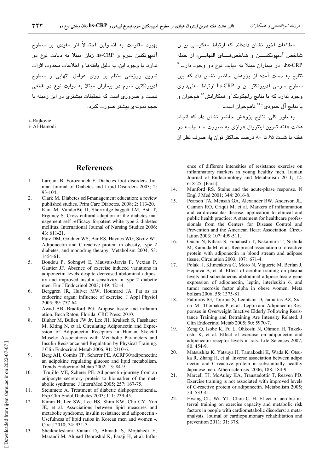بهبود مقاومت به انسولین احتمالاً اثر مفیدی بر سطوح آدیبونکتین سرم و hs-CRP زنان میتلا به دیابت نوع دو .<br>ندارد. با وجود این، به دلیل بافتهها و اطلاعات محدود، اثرات تمرين ورزشى منظم بر روى عوامل التهابى و سطوح آدیپونکتین سرم در بیماران مبتلا به دیابت نوع دو قطعی نست و ضروری است که تحققات بیشتری در این زمینه یا حجم نمونهي بيشتر صورت گيرد.

i- Rajkovic

i- Al-Hamodi

### **References**

- $\mathbf{1}$ . Larijani B, Forozandeh F. Diabetes foot disorders. Iranian Journal of Diabetes and Lipid Disorders 2003; 2: 93-104.
- $\overline{2}$ . Clark M. Diabetes self-management education: a review published studies. Prim Care Diabetes. 2008: 2: 113-20.
- Kara M, VanderBij JJ, Shortridge-baggett LM, Asti T,  $\mathcal{L}$ Erguney S. Cross-cultural adaption of the diabetes management self -efficacy forpatent white type 2 diabetes mellitus. International Journal of Nursing Studies 2006;  $43:611-21.$
- Putz DM, Goldner WS, Bar RS, Haynes WG, Sivitz WI.  $\overline{4}$ . Adiponectin and C-reactive protein in obesity, type 2 diabetes, and monodrug therapy. Metabolism 2004; 53: 1454-61.
- $5<sub>1</sub>$ Boudou P, Sobngwi E, Mauvais-Jarvis F, Vexiau P, Gautier JF. Absence of exercise induced variations in adiponectin levels despite decreased abdominal adiposity and improved insulin sensitivity in type 2 diabetic men. Eur J Endocrinol 2003; 149: 421-4.
- 6 Berggren JR, Hulver MW, Houmard JA. Fat as an endocrine organ: influence of exercise. J Appl Physiol 2005; 99: 757-64.
- 7. Awad AB, Bradford PG. Adipose tissue and inflamm ation. Boca Raton, Florida: CRC Press; 2010.
- 8. Bluher M. Bullen JW Jr. Lee JH. Kralisch S. Fasshauer M, Klting N, et al. Circulating Adiponectin and Expression of Adiponectin Receptors in Human Skeletal Muscle: Associations with Metabolic Parameters and Insulin Resistance and Regulation by Physical Training. J Clin Endocrinol Metab 2006; 91: 2310-6.
- 9. Berg AH, Combs TP, Scherer PE. ACRP30/adiponectin: an adipokine regulating glucose and lipid metabolism. Trends Endocrinol Metab 2002; 13: 84-9.
- 10. Trujillo ME, Scherer PE. Adiponectin-journey from an adipocyte secretory protein to biomarker of the metabolic syndrome. J InternMed 2005; 257: 167-75.
- $11$ Steinmetz A. Treatment of diabetic dislipoproteinemia. Exp Clin Endol Diabetes 2003; 111: 239-45.
- 12. Kimm H, Lee SW, Lee HS, Shim KW, Cho CY, Yun JE, et al. Associations between lipid measures and metabolic syndrome, insulin resistance and adiponectin -Usefulness of lipid ratios in Korean men and women -. Circ J 2010; 74: 931-7.
- 13. Sheikholeslami Vatani D, Ahmadi S, Mojtahedi H, Marandi M, Ahmad Dehrashid K, Faraji H, et al. Influ-

مطالعات اخیر نشان دادهاند که ارتباط معکوسی بیـن شاخص آدبیونکتیےن و شاخص هسای التهایے، ان حمله hs-CRP، در بیماران میتلا به دیابت نوع دو وجود دارد.<sup>۵۰</sup> نتایج به دست آمده از پژوهش حاضر نشان داد که بین سطوح سرمي آديپونکٽيـــن و hs-CRP ارتباط معنىداري وجود ندارد که با نتایج راجکویک<sup>ا</sup>و همکارانش<sup>۵</sup> همخوان و با نتایج آل حمودی<sup>۲۱۱ د</sup>اهمخوان است.

به طور کلی، نتایج پژوهش حاضر نشان داد که انجام هشت هفته تمرین اینتروال هوازی به صورت سه چلسه در هفته یا شدت ۶۵ تا ۸۰ درصد حداکثر توان یا، صرف نظر از

ence of different intensities of resistance exercise on inflammatory markers in young healthy men. Iranian Journal of Endocrinology and Metabolism 2011; 12: 618-25. [Farsi]

- 14. Munford RS. Stains and the acute-phase response. N Engl J Med 2001; 344: 2016-8.
- $15.$ Pearson TA, Mensah GA, Alexander RW, Anderson JL, Cannon RO, Criqui M, et al. Markers of inflammation and cardiovascular disease: application to clinical and public health practice: A statement for healthcare professionals from the Centers for Disease Control and Prevention and the American Heart Association. Circulation 2003; 107: 499-511.
- 16. Ouchi N, Kihara S, Funahashi T, Nakamura T, Nishida M, Kamuda M, et al. Reciprocal association of creactive protein with adiponectin in blood stream and adipose tissue, Circulation 2003; 107: 671-4.
- 17 Polak J, Klimcakova C, Moro N, Viguerie M, Berlan J, Hejnova B, et al. Effect of aerobic training on plasma levels and subcutaneous abdominal adipose tissue gene expression of adiponectin, leptin, interleukin 6, and tumor necrosis factor alpha in obese women. Meta bolism 2006; 55: 1375-81.
- 18. Fatouros IG, Tournis S, Leontsini D, Jamurtas AZ, Sxina M, Thomakos P, et al. Leptin and Adiponectin Responses in Overweight Inactive Elderly Following Resistance Training and Detraining Are Intensity Related. J Clin Endocrinol Metab 2005; 90: 5970-7.
- 19. Zeng Q, Isobe K, Fu L, Ohkoshi N, Ohmori H, Takekoshi K, et al. Effect of exercise on adiponectin and adiponectin receptor levels in rats. Life Sciences 2007;  $80:454-9$
- 20. Matsushita K, Yatsuya H, Tamakoshi K, Wada K, Otsuka R, Zhang H, et al. Inverse association between adipo nectin and C-reactive protein in substantially healthy Japanese men. Atherosclerosis 2006; 188: 184-9.
- 21. Marcell TJ, McAuley KA, Traustadottir T, Reaven PD. Exercise training is not associated with improved levels of C-reactive protein or adiponectin. Metabolism 2005; 54: 533-41.
- $22$ Hwang CL, Wu YT, Chou C. H. Effect of aerobic interval training on exercise capacity and metabolic risk factors in people with cardiometabolic disorders: a metaanalysis. Journal of cardiopulmonary rehabilitation and prevention 2011; 31: 378.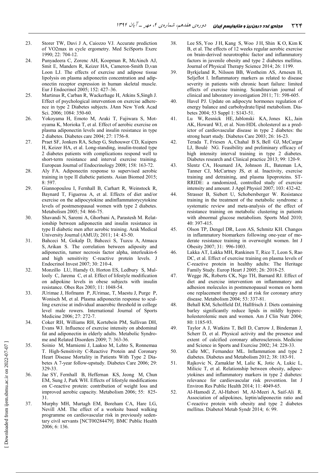- 23. Storer TW, Davi J A, Caiozzo VJ. Accurate prediction of VO2max in cycle ergometry. Med SciSports Exerc 1990; 22: 704-12.
- 24. Punyadeera C, Zorenc AH, Koopman R, McAinch AJ, Smit E, Manders R, Keizer HA, Cameron-Smith D,van Loon LJ. The effects of exercise and adipose tissue lipolysis on plasma adiponectin concentration and adiponectin receptor expression in human skeletal muscle. Eur J Endocrinol 2005; 152: 427–36.
- 25. Martinus R, Carban R, Wackerhage H, Atkins S,Singh J. Effect of psychological intervention on exercise adherence in type 2 Diabetes subjects. JAnn New York Acad Sci. 2006; 1084: 350-60.
- 26. Yokoyama H, Emoto M, Araki T, Fujiwara S, Motoyama K, Morioka T, et al. Effect of aerobic exercise on plasma adiponectin levels and insulin resistance in type 2 diabetes. Diabetes care 2004; 27: 1756-8.
- 27. Praet SF, Jonkers RA, Schep G, Stehouwer CD, Kuipers H, Keizer HA, et al. Long-standing, insulin-treated type 2 diabetes patients with complications respond well to short-term resistance and interval exercise training. European Journal of Endocrinology 2008; 158: 163-72.
- 28. Aly FA. Adiponectin response to supervised aerobic training in type II diabetic patients. Asian Biomed 2015; 8: 597.
- 29. Giannopoulou I, Fernhall B, Carhart R, Weinstock R, Baynard T, Figueroa A, et al. Effects of diet and/or exercise on the adipocytokine andinflammatorycytokine levels of postmenopausal women with type 2 diabetes. Metabolism 2005; 54: 866-75.
- 30. Shavandi N, Saremi A, Ghorbani A, Parastesh M. Relationship between adiponectin and insulin resistance in type II diabetic men after aerobic training. Arak Medical University Journal (AMUJ); 2011; 14: 43-50.
- 31. Bahceci M, Gokalp D, Bahceci S, Tuzcu A, Atmaca S, Arikan S. The correlation between adiposity and adiponectin, tumor necrosis factor alpha, interleukin-6 and high sensitivity C-reactive protein levels. J Endocrinol Invest 2007; 30: 210-4.
- 32. Monzillo LU, Hamdy O, Horton ES, Ledbury S, Mullooly C, Jarema C, et al. Effect of lifestyle modification on adipokine levels in obese subjects with insulin resistance. Obes Res 2003; 11: 1048-54.
- 33. JUrimae J, Hofmann P, JUrimae, T, Maestu J, Purge P, Wonisch M, et al. Plasma adiponectin response to sculling exercise at individual anaerobic threshold in college level male rowers. International Journal of Sports Medicine 2006; 27: 272-7.
- 34. Coker RH, Williams RH, Kortebein PM, Sullivan DH, Evans WJ. Influence of exercise intensity on abdominal fat and adiponectin in elderly adults. Metabolic Syndrome and Related Disorders 2009; 7: 363-36.
- 35. Soinio M, Marniemi J, Laakso M, Lehto S, Ronnemaa T. High-Sensitivity C-Reactive Protein and Coronary Heart Disease Mortality in Patients With Type 2 Diabetes A 7-year follow-upstudy. Diabetes Care 2006; 29: 329-33.
- 36. Jae SY, Fernhall B, Heffernan KS, Jeong M, Chun EM, Sung J, Park WH. Effects of lifestyle modifications on C-reactive protein: contribution of weight loss and improved aerobic capacity. Metabolism 2006; 55: 825- 31.
- 37. Murphy MH, Murtagh EM, Boreham CA, Hare LG, Nevill AM. The effect of a worksite based walking programme on cardiovascular risk in previously sedentary civil servants [NCT00284479]. BMC Public Health 2006; 6: 136.
- 38. Lee SS, Yoo J H, Kang S, Woo J H, Shin K O, Kim K B, et al. The effects of 12 weeks regular aerobic exercise on brain-derived neurotrophic factor and inflammatory factors in juvenile obesity and type 2 diabetes mellitus. Journal of Physical Therapy Science 2014; 26: 1199.
- 39. Byrkjeland R, Nilsson BB, Westheim AS, Arnesen H, Seljeflot I. Inflammatory markers as related to disease severity in patients with chronic heart failure: limited effects of exercise training. Scandinavian journal of clinical and laboratory investigation 2011; 71: 598-605.
- 40. Havel PJ. Update on adipocyte hormones regulation of energy balance and carbohydrate/lipid metabolism. Diabetes 2004; 53 Suppl 1: S143-51.
- 41. Lu W, Resnick HE, Jablonski KA, Jones KL, Jain AK, Howard WJ, et al. Non-HDL cholesterol as a predictor of cardiovascular disease in type 2 diabetes: the strong heart study. Diabetes Care 2003; 26: 16-23.
- 42. Terada T, Friesen A, Chahal B S, Bell GJ, McCargar LJ, Boulé NG. Feasibility and preliminary efficacy of high intensity interval training in type 2 diabetes. Diabetes research and Clinical practice 2013; 99: 120-9.
- 43. Slentz CA, Houmard JA, Johnson JL, Bateman LA, Tanner CJ, McCartney JS, et al. Inactivity, exercise training and detraining, and plasma lipoproteins. ST-RRIDE: a randomized, controlled study of exercise intensity and amount. J Appl Physiol 2007; 103: 432-42.
- 44. Strasser B, Siebert U, Schobersberger W. Resistance training in the treatment of the metabolic syndrome: a systematic review and meta-analysis of the effect of resistance training on metabolic clustering in patients with abnormal glucose metabolism. Sports Med 2010; 40: 397-415.
- 45. Olson TP, Dengel DR, Leon AS, Schmitz KH. Changes in inflammatory biomarkers following one-year of moderate resistance training in overweight women. Int J Obesity 2007; 31: 996-1003.
- 46. Lakka AT, Lakka MH, Rankinen T, Rice T, Leon S, Rao DC, et al. Effect of exercise training on plasma levels of C-reactive protein in healthy adults: The Heritage Family Study. Europ Heart J 2005; 26: 2018-25.
- 47. Wegge JK, Roberts CK, Ngo TH, Barnard RJ. Effect of diet and exercise intervention on inflammatory and adhesion molecules in postmenopausal women on horm one replacement therapy and at risk for coronary artery disease. Metabolism 2004; 53: 337-81.
- 48. Behall KM, Scholfield DJ, Hallfrisch J. Diets containing barley significantly reduce lipids in mildly hypercholesterolemic men and women. Am J Clin Nutr 2004; 80: 1185-93.
- 49. Taylor A J, Watkins T, Bell D, Carrow J, Bindeman J, Scherr D, et al. Physical activity and the presence and extent of calcified coronary atherosclerosis. Medicine and Science in Sports and Exercise 2002; 34: 228-33.
- 50. Calle MC, Fernandez ML. Inflammation and type 2 diabetes. Diabetes and Metabolism 2012; 38: 183-91.
- 51. Rajkovic N, Zamaklar M, Lalic K, Jotic A, Lukic L, Milicic T, et al. Relationship between obesity, adipocytokines and inflammatory markers in type 2 diabetes: relevance for cardiovascular risk prevention. Int J Environ Res Public Health 2014; 11: 4049-65.
- 52. Al-Hamodi Z, Al-Habori M, Al-Meeri A, Saif-Ali R. Association of adipokines, leptin/adiponectin ratio and C-reactive protein with obesity and type 2 diabetes mellitus. Diabetol Metab Syndr 2014; 6: 99.